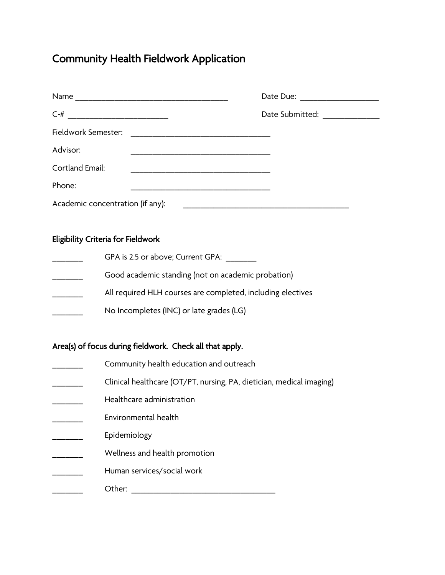# Community Health Fieldwork Application

| Name                             |                                        |
|----------------------------------|----------------------------------------|
| $C-#$                            | Date Submitted: <u>_______________</u> |
| Fieldwork Semester:              |                                        |
| Advisor:                         |                                        |
| Cortland Email:                  |                                        |
| Phone:                           |                                        |
| Academic concentration (if any): |                                        |

## Eligibility Criteria for Fieldwork

| GPA is 2.5 or above; Current GPA:                           |
|-------------------------------------------------------------|
| Good academic standing (not on academic probation)          |
| All required HLH courses are completed, including electives |
| No Incompletes (INC) or late grades (LG)                    |
|                                                             |

## Area(s) of focus during fieldwork. Check all that apply.

- Community health education and outreach
- \_\_\_\_\_\_\_ Clinical healthcare (OT/PT, nursing, PA, dietician, medical imaging)
- \_\_\_\_\_\_\_ Healthcare administration
- \_\_\_\_\_\_\_ Environmental health
- **Epidemiology**
- \_\_\_\_\_\_\_ Wellness and health promotion
- \_\_\_\_\_\_\_ Human services/social work
- \_\_\_\_\_\_\_ Other: \_\_\_\_\_\_\_\_\_\_\_\_\_\_\_\_\_\_\_\_\_\_\_\_\_\_\_\_\_\_\_\_\_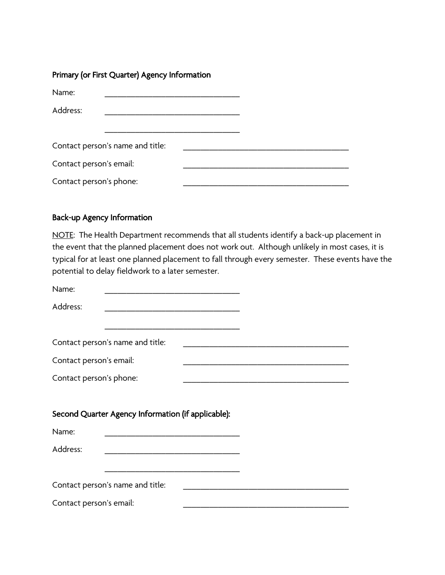## Primary (or First Quarter) Agency Information

| Name:                   |                                  |  |  |
|-------------------------|----------------------------------|--|--|
| Address:                |                                  |  |  |
|                         |                                  |  |  |
|                         | Contact person's name and title: |  |  |
| Contact person's email: |                                  |  |  |
| Contact person's phone: |                                  |  |  |

## Back-up Agency Information

NOTE: The Health Department recommends that all students identify a back-up placement in the event that the planned placement does not work out. Although unlikely in most cases, it is typical for at least one planned placement to fall through every semester. These events have the potential to delay fieldwork to a later semester.

| Name:                                              |                                                                                                                       |  |                                                            |  |  |
|----------------------------------------------------|-----------------------------------------------------------------------------------------------------------------------|--|------------------------------------------------------------|--|--|
| Address:                                           |                                                                                                                       |  |                                                            |  |  |
|                                                    |                                                                                                                       |  |                                                            |  |  |
|                                                    | Contact person's name and title:                                                                                      |  |                                                            |  |  |
| Contact person's email:                            |                                                                                                                       |  | <u> 1989 - Johann Barn, amerikansk politiker (d. 1989)</u> |  |  |
| Contact person's phone:                            |                                                                                                                       |  |                                                            |  |  |
|                                                    |                                                                                                                       |  |                                                            |  |  |
| Second Quarter Agency Information (if applicable): |                                                                                                                       |  |                                                            |  |  |
| Name:                                              | <u> 1989 - Johann Harry Harry Harry Harry Harry Harry Harry Harry Harry Harry Harry Harry Harry Harry Harry Harry</u> |  |                                                            |  |  |
| Address:                                           |                                                                                                                       |  |                                                            |  |  |
|                                                    |                                                                                                                       |  |                                                            |  |  |
|                                                    | Contact person's name and title:                                                                                      |  |                                                            |  |  |
| Contact person's email:                            |                                                                                                                       |  |                                                            |  |  |